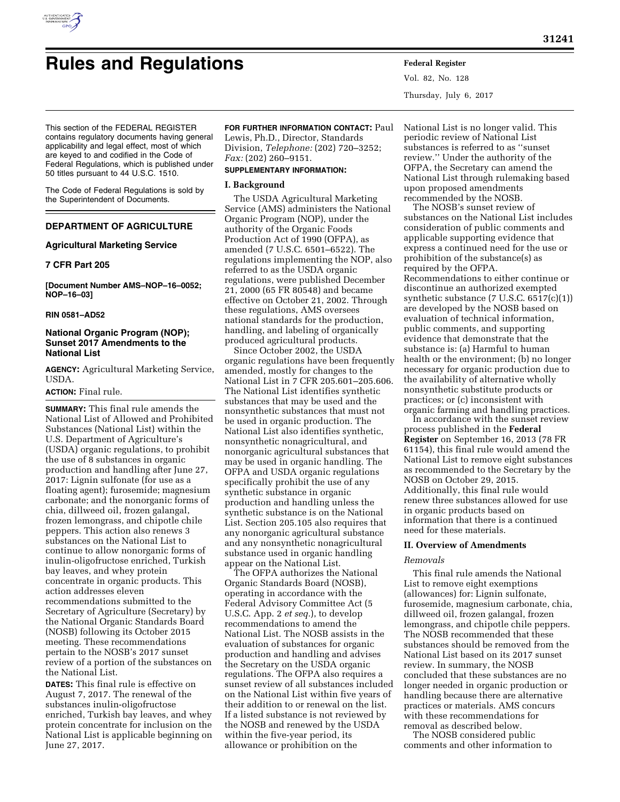

# **Rules and Regulations Federal Register**

Vol. 82, No. 128 Thursday, July 6, 2017

This section of the FEDERAL REGISTER contains regulatory documents having general applicability and legal effect, most of which are keyed to and codified in the Code of Federal Regulations, which is published under 50 titles pursuant to 44 U.S.C. 1510.

The Code of Federal Regulations is sold by the Superintendent of Documents.

# **DEPARTMENT OF AGRICULTURE**

## **Agricultural Marketing Service**

## **7 CFR Part 205**

**[Document Number AMS–NOP–16–0052; NOP–16–03]** 

#### **RIN 0581–AD52**

## **National Organic Program (NOP); Sunset 2017 Amendments to the National List**

**AGENCY:** Agricultural Marketing Service, USDA.

#### **ACTION:** Final rule.

**SUMMARY:** This final rule amends the National List of Allowed and Prohibited Substances (National List) within the U.S. Department of Agriculture's (USDA) organic regulations, to prohibit the use of 8 substances in organic production and handling after June 27, 2017: Lignin sulfonate (for use as a floating agent); furosemide; magnesium carbonate; and the nonorganic forms of chia, dillweed oil, frozen galangal, frozen lemongrass, and chipotle chile peppers. This action also renews 3 substances on the National List to continue to allow nonorganic forms of inulin-oligofructose enriched, Turkish bay leaves, and whey protein concentrate in organic products. This action addresses eleven recommendations submitted to the Secretary of Agriculture (Secretary) by the National Organic Standards Board (NOSB) following its October 2015 meeting. These recommendations pertain to the NOSB's 2017 sunset review of a portion of the substances on the National List.

**DATES:** This final rule is effective on August 7, 2017. The renewal of the substances inulin-oligofructose enriched, Turkish bay leaves, and whey protein concentrate for inclusion on the National List is applicable beginning on June 27, 2017.

## **FOR FURTHER INFORMATION CONTACT:** Paul Lewis, Ph.D., Director, Standards

Division, *Telephone:* (202) 720–3252; *Fax:* (202) 260–9151.

## **SUPPLEMENTARY INFORMATION:**

#### **I. Background**

The USDA Agricultural Marketing Service (AMS) administers the National Organic Program (NOP), under the authority of the Organic Foods Production Act of 1990 (OFPA), as amended (7 U.S.C. 6501–6522). The regulations implementing the NOP, also referred to as the USDA organic regulations, were published December 21, 2000 (65 FR 80548) and became effective on October 21, 2002. Through these regulations, AMS oversees national standards for the production, handling, and labeling of organically produced agricultural products.

Since October 2002, the USDA organic regulations have been frequently amended, mostly for changes to the National List in 7 CFR 205.601–205.606. The National List identifies synthetic substances that may be used and the nonsynthetic substances that must not be used in organic production. The National List also identifies synthetic, nonsynthetic nonagricultural, and nonorganic agricultural substances that may be used in organic handling. The OFPA and USDA organic regulations specifically prohibit the use of any synthetic substance in organic production and handling unless the synthetic substance is on the National List. Section 205.105 also requires that any nonorganic agricultural substance and any nonsynthetic nonagricultural substance used in organic handling appear on the National List.

The OFPA authorizes the National Organic Standards Board (NOSB), operating in accordance with the Federal Advisory Committee Act (5 U.S.C. App. 2 *et seq.*), to develop recommendations to amend the National List. The NOSB assists in the evaluation of substances for organic production and handling and advises the Secretary on the USDA organic regulations. The OFPA also requires a sunset review of all substances included on the National List within five years of their addition to or renewal on the list. If a listed substance is not reviewed by the NOSB and renewed by the USDA within the five-year period, its allowance or prohibition on the

National List is no longer valid. This periodic review of National List substances is referred to as ''sunset review.'' Under the authority of the OFPA, the Secretary can amend the National List through rulemaking based upon proposed amendments recommended by the NOSB.

The NOSB's sunset review of substances on the National List includes consideration of public comments and applicable supporting evidence that express a continued need for the use or prohibition of the substance(s) as required by the OFPA. Recommendations to either continue or discontinue an authorized exempted synthetic substance (7 U.S.C. 6517(c)(1)) are developed by the NOSB based on evaluation of technical information, public comments, and supporting evidence that demonstrate that the substance is: (a) Harmful to human health or the environment; (b) no longer necessary for organic production due to the availability of alternative wholly nonsynthetic substitute products or practices; or (c) inconsistent with organic farming and handling practices.

In accordance with the sunset review process published in the **Federal Register** on September 16, 2013 (78 FR 61154), this final rule would amend the National List to remove eight substances as recommended to the Secretary by the NOSB on October 29, 2015. Additionally, this final rule would renew three substances allowed for use in organic products based on information that there is a continued need for these materials.

## **II. Overview of Amendments**

#### *Removals*

This final rule amends the National List to remove eight exemptions (allowances) for: Lignin sulfonate, furosemide, magnesium carbonate, chia, dillweed oil, frozen galangal, frozen lemongrass, and chipotle chile peppers. The NOSB recommended that these substances should be removed from the National List based on its 2017 sunset review. In summary, the NOSB concluded that these substances are no longer needed in organic production or handling because there are alternative practices or materials. AMS concurs with these recommendations for removal as described below.

The NOSB considered public comments and other information to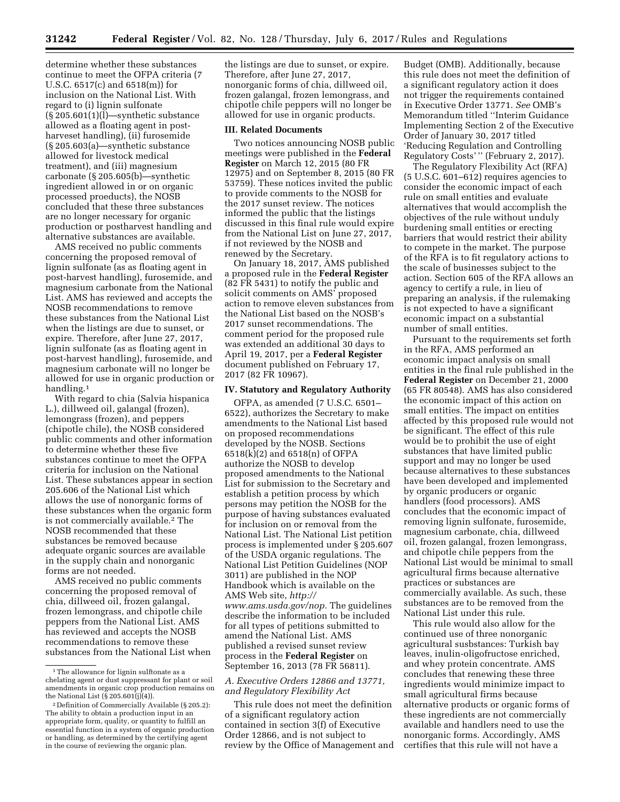determine whether these substances continue to meet the OFPA criteria (7 U.S.C. 6517(c) and 6518(m)) for inclusion on the National List. With regard to (i) lignin sulfonate  $(\S 205.601(1)(I)$ —synthetic substance allowed as a floating agent in postharveset handling), (ii) furosemide (§ 205.603(a)—synthetic substance allowed for livestock medical treatment), and (iii) magnesium carbonate (§ 205.605(b)—synthetic ingredient allowed in or on organic processed proeducts), the NOSB concluded that these three substances are no longer necessary for organic production or postharvest handling and alternative substances are available.

AMS received no public comments concerning the proposed removal of lignin sulfonate (as as floating agent in post-harvest handling), furosemide, and magnesium carbonate from the National List. AMS has reviewed and accepts the NOSB recommendations to remove these substances from the National List when the listings are due to sunset, or expire. Therefore, after June 27, 2017, lignin sulfonate (as as floating agent in post-harvest handling), furosemide, and magnesium carbonate will no longer be allowed for use in organic production or handling.1

With regard to chia (Salvia hispanica L.), dillweed oil, galangal (frozen), lemongrass (frozen), and peppers (chipotle chile), the NOSB considered public comments and other information to determine whether these five substances continue to meet the OFPA criteria for inclusion on the National List. These substances appear in section 205.606 of the National List which allows the use of nonorganic forms of these substances when the organic form is not commercially available.2 The NOSB recommended that these substances be removed because adequate organic sources are available in the supply chain and nonorganic forms are not needed.

AMS received no public comments concerning the proposed removal of chia, dillweed oil, frozen galangal, frozen lemongrass, and chipotle chile peppers from the National List. AMS has reviewed and accepts the NOSB recommendations to remove these substances from the National List when the listings are due to sunset, or expire. Therefore, after June 27, 2017, nonorganic forms of chia, dillweed oil, frozen galangal, frozen lemongrass, and chipotle chile peppers will no longer be allowed for use in organic products.

#### **III. Related Documents**

Two notices announcing NOSB public meetings were published in the **Federal Register** on March 12, 2015 (80 FR 12975) and on September 8, 2015 (80 FR 53759). These notices invited the public to provide comments to the NOSB for the 2017 sunset review. The notices informed the public that the listings discussed in this final rule would expire from the National List on June 27, 2017, if not reviewed by the NOSB and renewed by the Secretary.

On January 18, 2017, AMS published a proposed rule in the **Federal Register**  (82 FR 5431) to notify the public and solicit comments on AMS' proposed action to remove eleven substances from the National List based on the NOSB's 2017 sunset recommendations. The comment period for the proposed rule was extended an additional 30 days to April 19, 2017, per a **Federal Register**  document published on February 17, 2017 (82 FR 10967).

## **IV. Statutory and Regulatory Authority**

OFPA, as amended (7 U.S.C. 6501– 6522), authorizes the Secretary to make amendments to the National List based on proposed recommendations developed by the NOSB. Sections 6518(k)(2) and 6518(n) of OFPA authorize the NOSB to develop proposed amendments to the National List for submission to the Secretary and establish a petition process by which persons may petition the NOSB for the purpose of having substances evaluated for inclusion on or removal from the National List. The National List petition process is implemented under § 205.607 of the USDA organic regulations. The National List Petition Guidelines (NOP 3011) are published in the NOP Handbook which is available on the AMS Web site, *[http://](http://www.ams.usda.gov/nop) [www.ams.usda.gov/nop.](http://www.ams.usda.gov/nop)* The guidelines describe the information to be included for all types of petitions submitted to amend the National List. AMS published a revised sunset review process in the **Federal Register** on September 16, 2013 (78 FR 56811).

## *A. Executive Orders 12866 and 13771, and Regulatory Flexibility Act*

This rule does not meet the definition of a significant regulatory action contained in section 3(f) of Executive Order 12866, and is not subject to review by the Office of Management and Budget (OMB). Additionally, because this rule does not meet the definition of a significant regulatory action it does not trigger the requirements contained in Executive Order 13771. *See* OMB's Memorandum titled ''Interim Guidance Implementing Section 2 of the Executive Order of January 30, 2017 titled 'Reducing Regulation and Controlling Regulatory Costs' '' (February 2, 2017).

The Regulatory Flexibility Act (RFA) (5 U.S.C. 601–612) requires agencies to consider the economic impact of each rule on small entities and evaluate alternatives that would accomplish the objectives of the rule without unduly burdening small entities or erecting barriers that would restrict their ability to compete in the market. The purpose of the RFA is to fit regulatory actions to the scale of businesses subject to the action. Section 605 of the RFA allows an agency to certify a rule, in lieu of preparing an analysis, if the rulemaking is not expected to have a significant economic impact on a substantial number of small entities.

Pursuant to the requirements set forth in the RFA, AMS performed an economic impact analysis on small entities in the final rule published in the **Federal Register** on December 21, 2000 (65 FR 80548). AMS has also considered the economic impact of this action on small entities. The impact on entities affected by this proposed rule would not be significant. The effect of this rule would be to prohibit the use of eight substances that have limited public support and may no longer be used because alternatives to these substances have been developed and implemented by organic producers or organic handlers (food processors). AMS concludes that the economic impact of removing lignin sulfonate, furosemide, magnesium carbonate, chia, dillweed oil, frozen galangal, frozen lemongrass, and chipotle chile peppers from the National List would be minimal to small agricultural firms because alternative practices or substances are commercially available. As such, these substances are to be removed from the National List under this rule.

This rule would also allow for the continued use of three nonorganic agricultural susbstances: Turkish bay leaves, inulin-oligofructose enriched, and whey protein concentrate. AMS concludes that renewing these three ingredients would minimize impact to small agricultural firms because alternative products or organic forms of these ingredients are not commercially available and handlers need to use the nonorganic forms. Accordingly, AMS certifies that this rule will not have a

<sup>&</sup>lt;sup>1</sup>The allowance for lignin sulftonate as a chelating agent or dust suppressant for plant or soil amendments in organic crop production remains on the National List  $(\frac{5}{205.601(j)(4)}).$ 

<sup>2</sup> Definition of Commercially Available (§ 205.2): The ability to obtain a production input in an appropriate form, quality, or quantity to fulfill an essential function in a system of organic production or handling, as determined by the certifying agent in the course of reviewing the organic plan.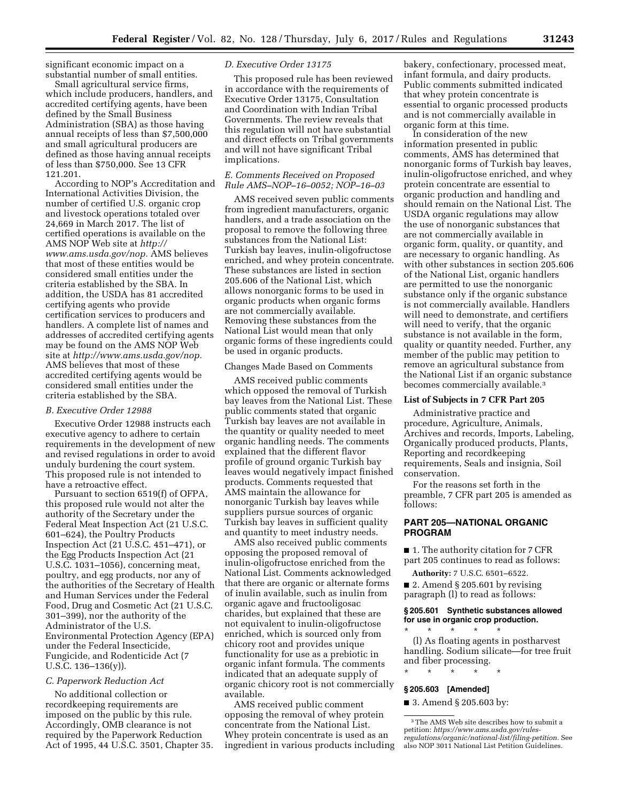significant economic impact on a substantial number of small entities.

Small agricultural service firms, which include producers, handlers, and accredited certifying agents, have been defined by the Small Business Administration (SBA) as those having annual receipts of less than \$7,500,000 and small agricultural producers are defined as those having annual receipts of less than \$750,000. See 13 CFR 121.201.

According to NOP's Accreditation and International Activities Division, the number of certified U.S. organic crop and livestock operations totaled over 24,669 in March 2017. The list of certified operations is available on the AMS NOP Web site at *[http://](http://www.ams.usda.gov/nop) [www.ams.usda.gov/nop.](http://www.ams.usda.gov/nop)* AMS believes that most of these entities would be considered small entities under the criteria established by the SBA. In addition, the USDA has 81 accredited certifying agents who provide certification services to producers and handlers. A complete list of names and addresses of accredited certifying agents may be found on the AMS NOP Web site at *[http://www.ams.usda.gov/nop.](http://www.ams.usda.gov/nop)*  AMS believes that most of these accredited certifying agents would be considered small entities under the criteria established by the SBA.

#### *B. Executive Order 12988*

Executive Order 12988 instructs each executive agency to adhere to certain requirements in the development of new and revised regulations in order to avoid unduly burdening the court system. This proposed rule is not intended to have a retroactive effect.

Pursuant to section 6519(f) of OFPA, this proposed rule would not alter the authority of the Secretary under the Federal Meat Inspection Act (21 U.S.C. 601–624), the Poultry Products Inspection Act (21 U.S.C. 451–471), or the Egg Products Inspection Act (21 U.S.C. 1031–1056), concerning meat, poultry, and egg products, nor any of the authorities of the Secretary of Health and Human Services under the Federal Food, Drug and Cosmetic Act (21 U.S.C. 301–399), nor the authority of the Administrator of the U.S. Environmental Protection Agency (EPA) under the Federal Insecticide, Fungicide, and Rodenticide Act (7 U.S.C. 136–136(y)).

#### *C. Paperwork Reduction Act*

No additional collection or recordkeeping requirements are imposed on the public by this rule. Accordingly, OMB clearance is not required by the Paperwork Reduction Act of 1995, 44 U.S.C. 3501, Chapter 35.

#### *D. Executive Order 13175*

This proposed rule has been reviewed in accordance with the requirements of Executive Order 13175, Consultation and Coordination with Indian Tribal Governments. The review reveals that this regulation will not have substantial and direct effects on Tribal governments and will not have significant Tribal implications.

#### *E. Comments Received on Proposed Rule AMS–NOP–16–0052; NOP–16–03*

AMS received seven public comments from ingredient manufacturers, organic handlers, and a trade association on the proposal to remove the following three substances from the National List: Turkish bay leaves, inulin-oligofructose enriched, and whey protein concentrate. These substances are listed in section 205.606 of the National List, which allows nonorganic forms to be used in organic products when organic forms are not commercially available. Removing these substances from the National List would mean that only organic forms of these ingredients could be used in organic products.

## Changes Made Based on Comments

AMS received public comments which opposed the removal of Turkish bay leaves from the National List. These public comments stated that organic Turkish bay leaves are not available in the quantity or quality needed to meet organic handling needs. The comments explained that the different flavor profile of ground organic Turkish bay leaves would negatively impact finished products. Comments requested that AMS maintain the allowance for nonorganic Turkish bay leaves while suppliers pursue sources of organic Turkish bay leaves in sufficient quality and quantity to meet industry needs.

AMS also received public comments opposing the proposed removal of inulin-oligofructose enriched from the National List. Comments acknowledged that there are organic or alternate forms of inulin available, such as inulin from organic agave and fructooligosac charides, but explained that these are not equivalent to inulin-oligofructose enriched, which is sourced only from chicory root and provides unique functionality for use as a prebiotic in organic infant formula. The comments indicated that an adequate supply of organic chicory root is not commercially available.

AMS received public comment opposing the removal of whey protein concentrate from the National List. Whey protein concentrate is used as an ingredient in various products including bakery, confectionary, processed meat, infant formula, and dairy products. Public comments submitted indicated that whey protein concentrate is essential to organic processed products and is not commercially available in organic form at this time.

In consideration of the new information presented in public comments, AMS has determined that nonorganic forms of Turkish bay leaves, inulin-oligofructose enriched, and whey protein concentrate are essential to organic production and handling and should remain on the National List. The USDA organic regulations may allow the use of nonorganic substances that are not commercially available in organic form, quality, or quantity, and are necessary to organic handling. As with other substances in section 205.606 of the National List, organic handlers are permitted to use the nonorganic substance only if the organic substance is not commercially available. Handlers will need to demonstrate, and certifiers will need to verify, that the organic substance is not available in the form, quality or quantity needed. Further, any member of the public may petition to remove an agricultural substance from the National List if an organic substance becomes commercially available.3

## **List of Subjects in 7 CFR Part 205**

Administrative practice and procedure, Agriculture, Animals, Archives and records, Imports, Labeling, Organically produced products, Plants, Reporting and recordkeeping requirements, Seals and insignia, Soil conservation.

For the reasons set forth in the preamble, 7 CFR part 205 is amended as follows:

## **PART 205—NATIONAL ORGANIC PROGRAM**

■ 1. The authority citation for 7 CFR part 205 continues to read as follows:

**Authority:** 7 U.S.C. 6501–6522. ■ 2. Amend § 205.601 by revising

paragraph (l) to read as follows:

## **§ 205.601 Synthetic substances allowed for use in organic crop production.**

\* \* \* \* \* (l) As floating agents in postharvest handling. Sodium silicate—for tree fruit and fiber processing.

# \* \* \* \* \* **§ 205.603 [Amended]**

## ■ 3. Amend § 205.603 by:

3The AMS Web site describes how to submit a petition: *[https://www.ams.usda.gov/rules](https://www.ams.usda.gov/rules-regulations/organic/national-list/filing-petition)[regulations/organic/national-list/filing-petition.](https://www.ams.usda.gov/rules-regulations/organic/national-list/filing-petition)* See also NOP 3011 National List Petition Guidelines.